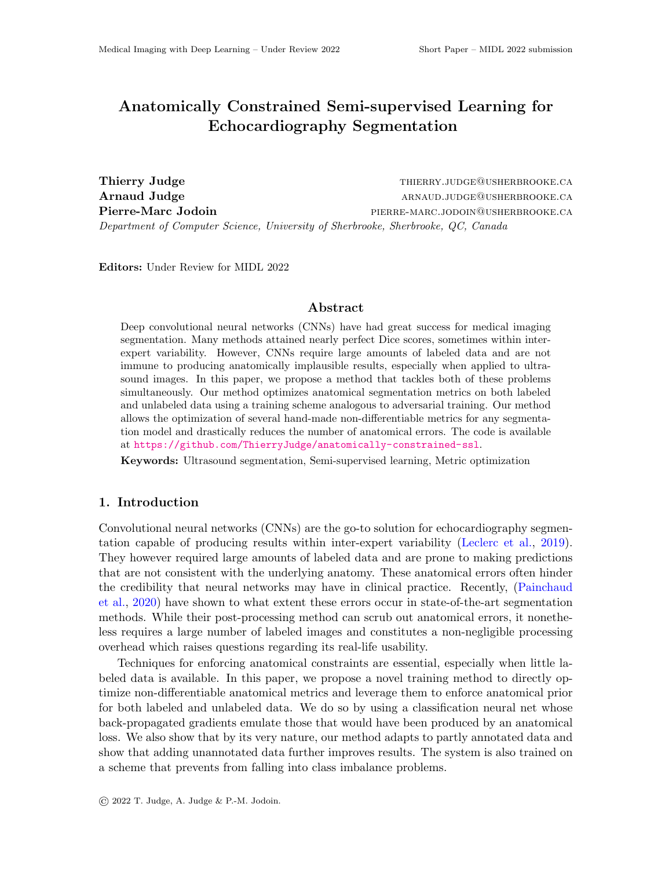# Anatomically Constrained Semi-supervised Learning for Echocardiography Segmentation

Thierry Judge Thierry.judge this extend the method of the third the third things  $\Gamma$ Arnaud Judge and arrangement of the settlement of the settlement of the settlement of the settlement of the settlement of the settlement of the settlement of the settlement of the settlement of the settlement of the settle Pierre-Marc Jodoin **picklookers** pierre-marc.jodoin@usherbrooke.ca Department of Computer Science, University of Sherbrooke, Sherbrooke, QC, Canada

Editors: Under Review for MIDL 2022

# Abstract

Deep convolutional neural networks (CNNs) have had great success for medical imaging segmentation. Many methods attained nearly perfect Dice scores, sometimes within interexpert variability. However, CNNs require large amounts of labeled data and are not immune to producing anatomically implausible results, especially when applied to ultrasound images. In this paper, we propose a method that tackles both of these problems simultaneously. Our method optimizes anatomical segmentation metrics on both labeled and unlabeled data using a training scheme analogous to adversarial training. Our method allows the optimization of several hand-made non-differentiable metrics for any segmentation model and drastically reduces the number of anatomical errors. The code is available at <https://github.com/ThierryJudge/anatomically-constrained-ssl>.

Keywords: Ultrasound segmentation, Semi-supervised learning, Metric optimization

# 1. Introduction

Convolutional neural networks (CNNs) are the go-to solution for echocardiography segmentation capable of producing results within inter-expert variability [\(Leclerc et al.,](#page-2-0) [2019\)](#page-2-0). They however required large amounts of labeled data and are prone to making predictions that are not consistent with the underlying anatomy. These anatomical errors often hinder the credibility that neural networks may have in clinical practice. Recently, [\(Painchaud](#page-2-1) [et al.,](#page-2-1) [2020\)](#page-2-1) have shown to what extent these errors occur in state-of-the-art segmentation methods. While their post-processing method can scrub out anatomical errors, it nonetheless requires a large number of labeled images and constitutes a non-negligible processing overhead which raises questions regarding its real-life usability.

Techniques for enforcing anatomical constraints are essential, especially when little labeled data is available. In this paper, we propose a novel training method to directly optimize non-differentiable anatomical metrics and leverage them to enforce anatomical prior for both labeled and unlabeled data. We do so by using a classification neural net whose back-propagated gradients emulate those that would have been produced by an anatomical loss. We also show that by its very nature, our method adapts to partly annotated data and show that adding unannotated data further improves results. The system is also trained on a scheme that prevents from falling into class imbalance problems.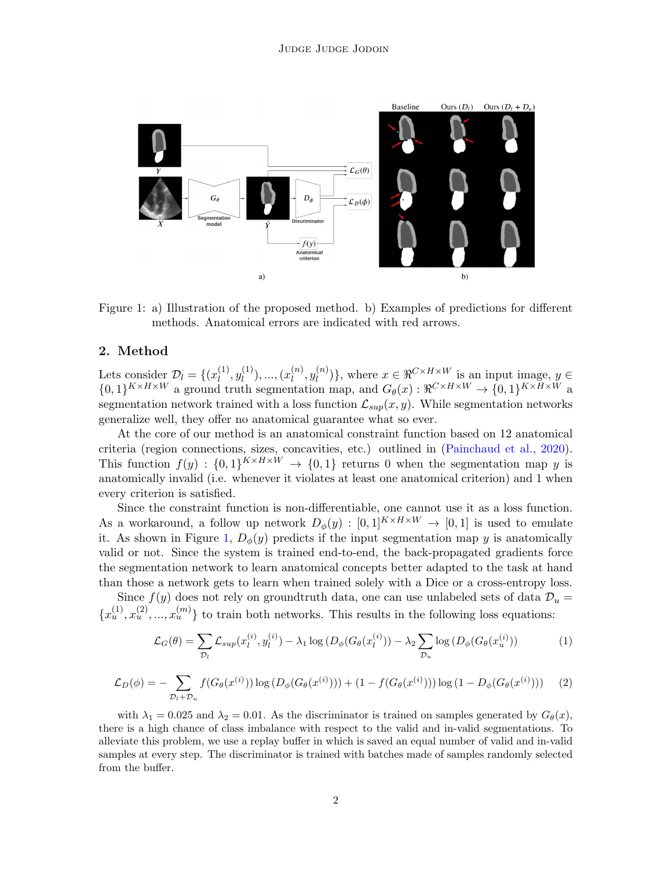

<span id="page-1-0"></span>Figure 1: a) Illustration of the proposed method. b) Examples of predictions for different methods. Anatomical errors are indicated with red arrows.

## 2. Method

Lets consider  $\mathcal{D}_l = \{(x_l^{(1)}\)$  $\binom{1}{l}, y_l^{(1)}$  $\binom{1}{l}, \ldots, \binom{x_l^{(n)}}{l}$  $\binom{n}{l},y_{l}^{(n)}$  $\{u^{(n)}\}\,$ , where  $x \in \Re^{C \times H \times W}$  is an input image,  $y \in$  $\{0,1\}^{K \times H \times W}$  a ground truth segmentation map, and  $G_{\theta}(x): \mathfrak{R}^{C \times H \times W} \to \{0,1\}^{K \times H \times W}$  a segmentation network trained with a loss function  $\mathcal{L}_{sub}(x, y)$ . While segmentation networks generalize well, they offer no anatomical guarantee what so ever.

At the core of our method is an anatomical constraint function based on 12 anatomical criteria (region connections, sizes, concavities, etc.) outlined in [\(Painchaud et al.,](#page-2-1) [2020\)](#page-2-1). This function  $f(y) : \{0,1\}^{K \times H \times W} \to \{0,1\}$  returns 0 when the segmentation map y is anatomically invalid (i.e. whenever it violates at least one anatomical criterion) and 1 when every criterion is satisfied.

Since the constraint function is non-differentiable, one cannot use it as a loss function. As a workaround, a follow up network  $D_{\phi}(y) : [0,1]^{K \times H \times W} \rightarrow [0,1]$  is used to emulate it. As shown in Figure [1,](#page-1-0)  $D_{\phi}(y)$  predicts if the input segmentation map y is anatomically valid or not. Since the system is trained end-to-end, the back-propagated gradients force the segmentation network to learn anatomical concepts better adapted to the task at hand than those a network gets to learn when trained solely with a Dice or a cross-entropy loss.

Since  $f(y)$  does not rely on groundtruth data, one can use unlabeled sets of data  $\mathcal{D}_u$  =  ${x<sub>u</sub><sup>(1)</sup>, x<sub>u</sub><sup>(2)</sup>, ..., x<sub>u</sub><sup>(m)</sup>}$  to train both networks. This results in the following loss equations:

$$
\mathcal{L}_G(\theta) = \sum_{\mathcal{D}_l} \mathcal{L}_{sup}(x_l^{(i)}, y_l^{(i)}) - \lambda_1 \log \left( D_{\phi}(G_{\theta}(x_l^{(i)})) - \lambda_2 \sum_{\mathcal{D}_u} \log \left( D_{\phi}(G_{\theta}(x_u^{(i)})) \right) \right)
$$
(1)

$$
\mathcal{L}_D(\phi) = -\sum_{\mathcal{D}_l + \mathcal{D}_u} f(G_{\theta}(x^{(i)})) \log (D_{\phi}(G_{\theta}(x^{(i)}))) + (1 - f(G_{\theta}(x^{(i)}))) \log (1 - D_{\phi}(G_{\theta}(x^{(i)}))) \tag{2}
$$

with  $\lambda_1 = 0.025$  and  $\lambda_2 = 0.01$ . As the discriminator is trained on samples generated by  $G_{\theta}(x)$ , there is a high chance of class imbalance with respect to the valid and in-valid segmentations. To alleviate this problem, we use a replay buffer in which is saved an equal number of valid and in-valid samples at every step. The discriminator is trained with batches made of samples randomly selected from the buffer.